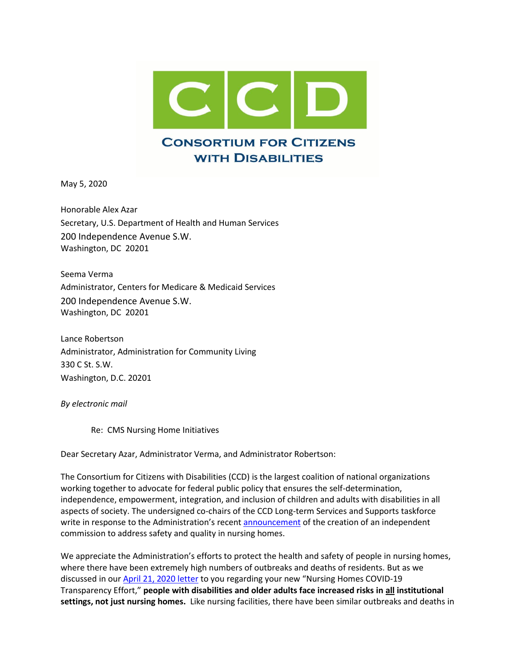

May 5, 2020

Honorable Alex Azar Secretary, U.S. Department of Health and Human Services 200 Independence Avenue S.W. Washington, DC 20201

Seema Verma Administrator, Centers for Medicare & Medicaid Services 200 Independence Avenue S.W. Washington, DC 20201

Lance Robertson Administrator, Administration for Community Living 330 C St. S.W. Washington, D.C. 20201

*By electronic mail*

Re: CMS Nursing Home Initiatives

Dear Secretary Azar, Administrator Verma, and Administrator Robertson:

The Consortium for Citizens with Disabilities (CCD) is the largest coalition of national organizations working together to advocate for federal public policy that ensures the self-determination, independence, empowerment, integration, and inclusion of children and adults with disabilities in all aspects of society. The undersigned co-chairs of the CCD Long-term Services and Supports taskforce write in response to the Administration's recent [announcement](https://www.cms.gov/newsroom/press-releases/cms-announces-independent-commission-address-safety-and-quality-nursing-homes) of the creation of an independent commission to address safety and quality in nursing homes.

We appreciate the Administration's efforts to protect the health and safety of people in nursing homes, where there have been extremely high numbers of outbreaks and deaths of residents. But as we discussed in our **April 21, 2020 letter** to you regarding your new "Nursing Homes COVID-19 Transparency Effort," **people with disabilities and older adults face increased risks in all institutional settings, not just nursing homes.** Like nursing facilities, there have been similar outbreaks and deaths in